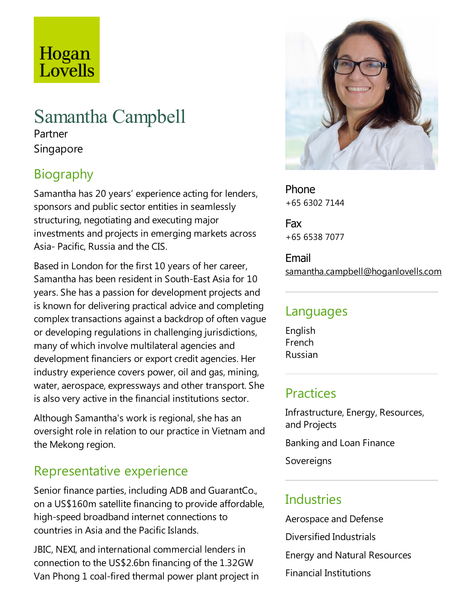## Hogan Lovells

# Samantha Campbell

Partner Singapore

## Biography

Samantha has 20 years' experience acting for lenders, sponsors and public sector entities in seamlessly structuring, negotiating and executing major investments and projects in emerging markets across Asia- Pacific, Russia and the CIS.

Based in London for the first 10 years of her career, Samantha has been resident in South-East Asiafor 10 years. She has a passion for development projects and is known for delivering practical advice and completing complex transactions against a backdrop of often vague or developing regulations in challenging jurisdictions, many of which involve multilateral agencies and development financiers or export credit agencies. Her industry experience covers power, oil and gas, mining, water, aerospace, expressways and other transport. She is also very active in the financial institutions sector.

Although Samantha's work is regional, she has an oversight role in relation to our practice in Vietnam and the Mekong region.

#### Representative experience

Senior finance parties, including ADB and GuarantCo., on a US\$160m satellite financing to provide affordable, high-speed broadband internet connections to countries in Asia and the Pacific Islands.

JBIC, NEXI, and international commercial lenders in connection to the US\$2.6bn financing of the 1.32GW Van Phong 1 coal-fired thermal power plant project in



Phone +65 6302 7144

Fax +65 6538 7077

Email samantha.campbell@hoganlovells.com

#### Languages

English French Russian

#### **Practices**

Infrastructure, Energy, Resources, and Projects Banking and Loan Finance

Sovereigns

#### **Industries**

Aerospace and Defense Diversified Industrials Energy and Natural Resources Financial Institutions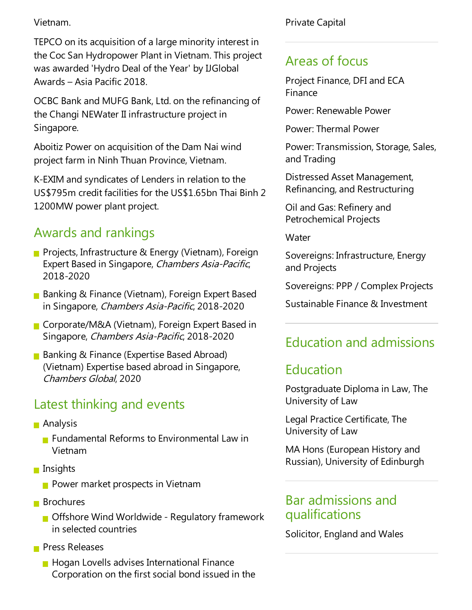Vietnam.

TEPCO on its acquisition of a large minority interest in the Coc San Hydropower Plant in Vietnam.This project was awarded 'Hydro Deal of the Year' by IJGlobal Awards – Asia Pacific 2018.

OCBC Bank and MUFG Bank, Ltd. on the refinancing of the Changi NEWater II infrastructure project in Singapore.

Aboitiz Power on acquisition of the Dam Nai wind project farm in Ninh Thuan Province, Vietnam.

K-EXIM and syndicates of Lenders in relation to the US\$795m credit facilities for the US\$1.65bn Thai Binh 2 1200MW power plant project.

#### Awards and rankings

- **Projects, Infrastructure & Energy (Vietnam), Foreign** Expert Based in Singapore, Chambers Asia-Pacific, 2018-2020
- Banking & Finance (Vietnam), Foreign Expert Based in Singapore, Chambers Asia-Pacific, 2018-2020
- Corporate/M&A (Vietnam), Foreign Expert Based in Singapore, Chambers Asia-Pacific, 2018-2020
- Banking & Finance (Expertise Based Abroad) (Vietnam) Expertise based abroad in Singapore, Chambers Global, 2020

#### Latest thinking and events

- Analysis
	- **Fundamental Reforms to Environmental Law in** Vietnam
- **Insights** 
	- **Power market prospects in Vietnam**
- **Brochures** 
	- **Offshore Wind Worldwide Regulatory framework** in selected countries
- **Press Releases** 
	- $\blacksquare$  Hogan Lovells advises International Finance Corporation on the first social bond issued in the

Private Capital

#### Areas of focus

Project Finance, DFI and ECA Finance

Power: Renewable Power

Power:Thermal Power

Power: Transmission, Storage, Sales, and Trading

Distressed Asset Management, Refinancing, and Restructuring

Oil and Gas: Refinery and Petrochemical Projects

**Water** 

Sovereigns: Infrastructure, Energy and Projects

Sovereigns: PPP / Complex Projects

Sustainable Finance & Investment

### Education and admissions

### Education

Postgraduate Diploma in Law, The University of Law

Legal Practice Certificate, The University of Law

MA Hons (European History and Russian), University of Edinburgh

#### Bar admissions and qualifications

Solicitor, England and Wales